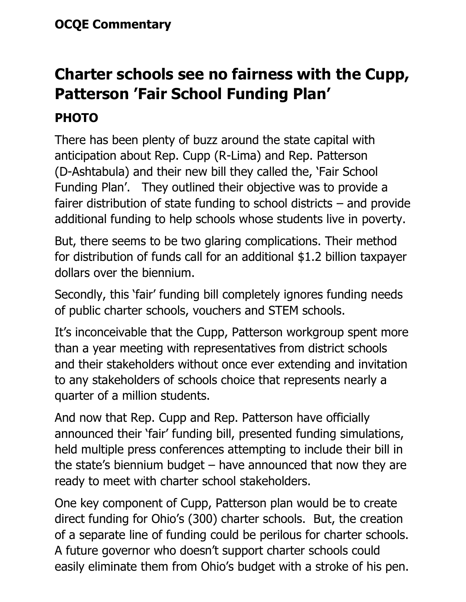## **Charter schools see no fairness with the Cupp, Patterson 'Fair School Funding Plan'**

## **PHOTO**

There has been plenty of buzz around the state capital with anticipation about Rep. Cupp (R-Lima) and Rep. Patterson (D-Ashtabula) and their new bill they called the, 'Fair School Funding Plan'. They outlined their objective was to provide a fairer distribution of state funding to school districts – and provide additional funding to help schools whose students live in poverty.

But, there seems to be two glaring complications. Their method for distribution of funds call for an additional \$1.2 billion taxpayer dollars over the biennium.

Secondly, this 'fair' funding bill completely ignores funding needs of public charter schools, vouchers and STEM schools.

It's inconceivable that the Cupp, Patterson workgroup spent more than a year meeting with representatives from district schools and their stakeholders without once ever extending and invitation to any stakeholders of schools choice that represents nearly a quarter of a million students.

And now that Rep. Cupp and Rep. Patterson have officially announced their 'fair' funding bill, presented funding simulations, held multiple press conferences attempting to include their bill in the state's biennium budget – have announced that now they are ready to meet with charter school stakeholders.

One key component of Cupp, Patterson plan would be to create direct funding for Ohio's (300) charter schools. But, the creation of a separate line of funding could be perilous for charter schools. A future governor who doesn't support charter schools could easily eliminate them from Ohio's budget with a stroke of his pen.